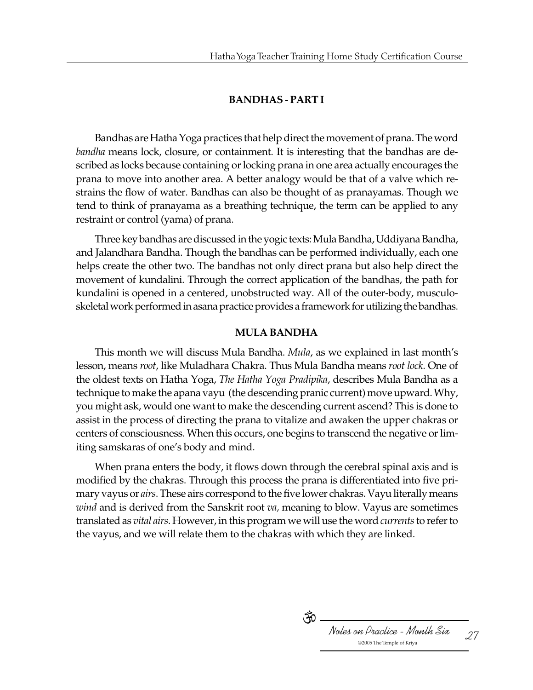## **BANDHAS - PART I**

Bandhas are Hatha Yoga practices that help direct the movement of prana. The word *bandha* means lock, closure, or containment. It is interesting that the bandhas are described as locks because containing or locking prana in one area actually encourages the prana to move into another area. A better analogy would be that of a valve which restrains the flow of water. Bandhas can also be thought of as pranayamas. Though we tend to think of pranayama as a breathing technique, the term can be applied to any restraint or control (yama) of prana.

Three key bandhas are discussed in the yogic texts: Mula Bandha, Uddiyana Bandha, and Jalandhara Bandha. Though the bandhas can be performed individually, each one helps create the other two. The bandhas not only direct prana but also help direct the movement of kundalini. Through the correct application of the bandhas, the path for kundalini is opened in a centered, unobstructed way. All of the outer-body, musculoskeletal work performed in asana practice provides a framework for utilizing the bandhas.

#### **MULA BANDHA**

This month we will discuss Mula Bandha. *Mula*, as we explained in last month's lesson, means *root*, like Muladhara Chakra. Thus Mula Bandha means *root lock*. One of the oldest texts on Hatha Yoga, *The Hatha Yoga Pradipika*, describes Mula Bandha as a technique to make the apana vayu (the descending pranic current) move upward. Why, you might ask, would one want to make the descending current ascend? This is done to assist in the process of directing the prana to vitalize and awaken the upper chakras or centers of consciousness. When this occurs, one begins to transcend the negative or limiting samskaras of one's body and mind.

When prana enters the body, it flows down through the cerebral spinal axis and is modified by the chakras. Through this process the prana is differentiated into five primary vayus or *airs*. These airs correspond to the five lower chakras. Vayu literally means *wind* and is derived from the Sanskrit root *va,* meaning to blow. Vayus are sometimes translated as *vital airs*. However, in this program we will use the word *currents* to refer to the vayus, and we will relate them to the chakras with which they are linked.

Notes on Practice - Month Six 27 ্ৰূত 2005 The Temple of Kriya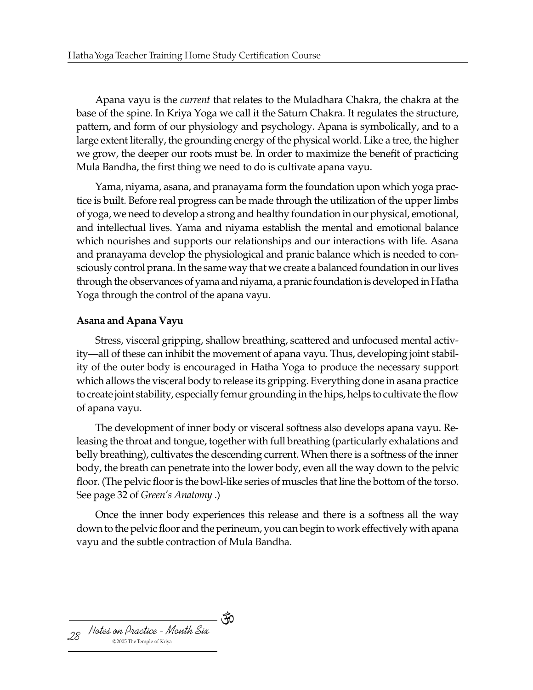Apana vayu is the *current* that relates to the Muladhara Chakra, the chakra at the base of the spine. In Kriya Yoga we call it the Saturn Chakra. It regulates the structure, pattern, and form of our physiology and psychology. Apana is symbolically, and to a large extent literally, the grounding energy of the physical world. Like a tree, the higher we grow, the deeper our roots must be. In order to maximize the benefit of practicing Mula Bandha, the first thing we need to do is cultivate apana vayu.

Yama, niyama, asana, and pranayama form the foundation upon which yoga practice is built. Before real progress can be made through the utilization of the upper limbs of yoga, we need to develop a strong and healthy foundation in our physical, emotional, and intellectual lives. Yama and niyama establish the mental and emotional balance which nourishes and supports our relationships and our interactions with life. Asana and pranayama develop the physiological and pranic balance which is needed to consciously control prana. In the same way that we create a balanced foundation in our lives through the observances of yama and niyama, a pranic foundation is developed in Hatha Yoga through the control of the apana vayu.

# **Asana and Apana Vayu**

Stress, visceral gripping, shallow breathing, scattered and unfocused mental activity—all of these can inhibit the movement of apana vayu. Thus, developing joint stability of the outer body is encouraged in Hatha Yoga to produce the necessary support which allows the visceral body to release its gripping. Everything done in asana practice to create joint stability, especially femur grounding in the hips, helps to cultivate the flow of apana vayu.

The development of inner body or visceral softness also develops apana vayu. Releasing the throat and tongue, together with full breathing (particularly exhalations and belly breathing), cultivates the descending current. When there is a softness of the inner body, the breath can penetrate into the lower body, even all the way down to the pelvic floor. (The pelvic floor is the bowl-like series of muscles that line the bottom of the torso. See page 32 of *Green's Anatomy* .)

Once the inner body experiences this release and there is a softness all the way down to the pelvic floor and the perineum, you can begin to work effectively with apana vayu and the subtle contraction of Mula Bandha.

্কঁ

Notes on Practice - Month Six 28 2005 The Temple of Kriya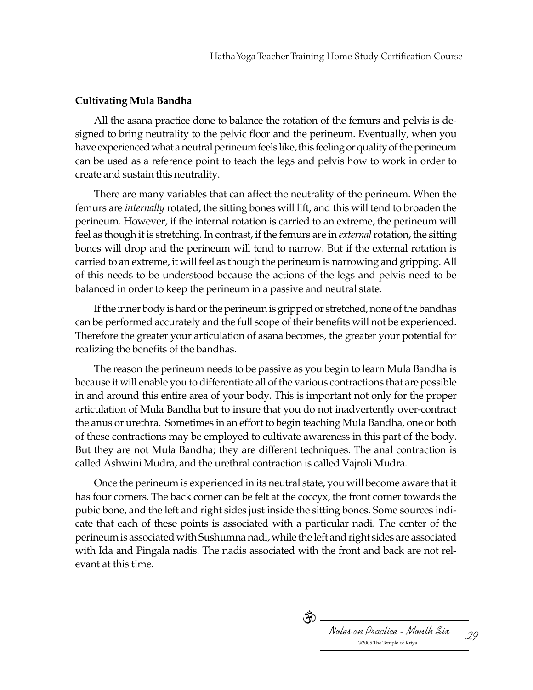### **Cultivating Mula Bandha**

All the asana practice done to balance the rotation of the femurs and pelvis is designed to bring neutrality to the pelvic floor and the perineum. Eventually, when you have experienced what a neutral perineum feels like, this feeling or quality of the perineum can be used as a reference point to teach the legs and pelvis how to work in order to create and sustain this neutrality.

There are many variables that can affect the neutrality of the perineum. When the femurs are *internally* rotated, the sitting bones will lift, and this will tend to broaden the perineum. However, if the internal rotation is carried to an extreme, the perineum will feel as though it is stretching. In contrast, if the femurs are in *external* rotation, the sitting bones will drop and the perineum will tend to narrow. But if the external rotation is carried to an extreme, it will feel as though the perineum is narrowing and gripping. All of this needs to be understood because the actions of the legs and pelvis need to be balanced in order to keep the perineum in a passive and neutral state.

If the inner body is hard or the perineum is gripped or stretched, none of the bandhas can be performed accurately and the full scope of their benefits will not be experienced. Therefore the greater your articulation of asana becomes, the greater your potential for realizing the benefits of the bandhas.

The reason the perineum needs to be passive as you begin to learn Mula Bandha is because it will enable you to differentiate all of the various contractions that are possible in and around this entire area of your body. This is important not only for the proper articulation of Mula Bandha but to insure that you do not inadvertently over-contract the anus or urethra. Sometimes in an effort to begin teaching Mula Bandha, one or both of these contractions may be employed to cultivate awareness in this part of the body. But they are not Mula Bandha; they are different techniques. The anal contraction is called Ashwini Mudra, and the urethral contraction is called Vajroli Mudra.

Once the perineum is experienced in its neutral state, you will become aware that it has four corners. The back corner can be felt at the coccyx, the front corner towards the pubic bone, and the left and right sides just inside the sitting bones. Some sources indicate that each of these points is associated with a particular nadi. The center of the perineum is associated with Sushumna nadi, while the left and right sides are associated with Ida and Pingala nadis. The nadis associated with the front and back are not relevant at this time.

> Notes on Practice - Month Six 29 ্দ $\delta$  . 2005 The Temple of Kriya